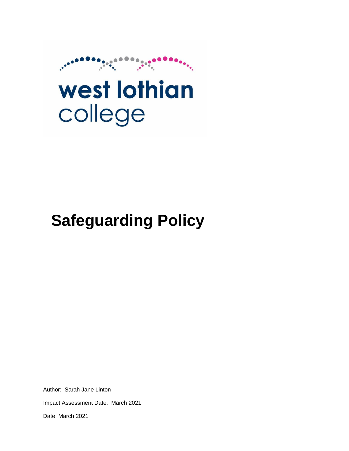

# west lothian college

# **Safeguarding Policy**

Author: Sarah Jane Linton Impact Assessment Date: March 2021 Date: March 2021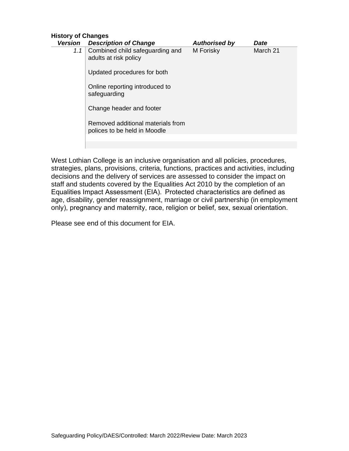| <b>History of Changes</b> |                                                                   |                      |          |
|---------------------------|-------------------------------------------------------------------|----------------------|----------|
| Version                   | <b>Description of Change</b>                                      | <b>Authorised by</b> | Date     |
| 1.1                       | Combined child safeguarding and<br>adults at risk policy          | M Forisky            | March 21 |
|                           | Updated procedures for both                                       |                      |          |
|                           | Online reporting introduced to<br>safeguarding                    |                      |          |
|                           | Change header and footer                                          |                      |          |
|                           | Removed additional materials from<br>polices to be held in Moodle |                      |          |
|                           |                                                                   |                      |          |
|                           |                                                                   |                      |          |

West Lothian College is an inclusive organisation and all policies, procedures, strategies, plans, provisions, criteria, functions, practices and activities, including decisions and the delivery of services are assessed to consider the impact on staff and students covered by the Equalities Act 2010 by the completion of an Equalities Impact Assessment (EIA).  Protected characteristics are defined as age, disability, gender reassignment, marriage or civil partnership (in employment only), pregnancy and maternity, race, religion or belief, sex, sexual orientation. 

Please see end of this document for EIA.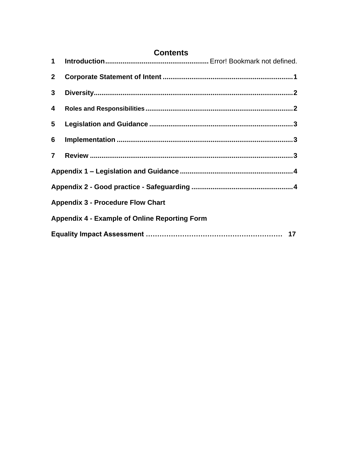| <b>Contents</b> |                                                      |  |
|-----------------|------------------------------------------------------|--|
| $1 \quad$       |                                                      |  |
| 2 <sup>1</sup>  |                                                      |  |
| 3 <sup>1</sup>  |                                                      |  |
| 4               |                                                      |  |
| 5 <sub>5</sub>  |                                                      |  |
| $6\overline{6}$ |                                                      |  |
| $\overline{7}$  |                                                      |  |
|                 |                                                      |  |
|                 |                                                      |  |
|                 | <b>Appendix 3 - Procedure Flow Chart</b>             |  |
|                 | <b>Appendix 4 - Example of Online Reporting Form</b> |  |
|                 |                                                      |  |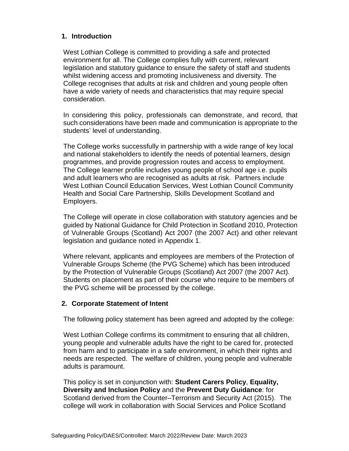#### **1. Introduction**

West Lothian College is committed to providing a safe and protected environment for all. The College complies fully with current, relevant legislation and statutory guidance to ensure the safety of staff and students whilst widening access and promoting inclusiveness and diversity. The College recognises that adults at risk and children and young people often have a wide variety of needs and characteristics that may require special consideration.

In considering this policy, professionals can demonstrate, and record, that such considerations have been made and communication is appropriate to the students' level of understanding.

The College works successfully in partnership with a wide range of key local and national stakeholders to identify the needs of potential learners, design programmes, and provide progression routes and access to employment. The College learner profile includes young people of school age i.e. pupils and adult learners who are recognised as adults at risk. Partners include West Lothian Council Education Services, West Lothian Council Community Health and Social Care Partnership, Skills Development Scotland and Employers.

The College will operate in close collaboration with statutory agencies and be guided by National Guidance for Child Protection in Scotland 2010, Protection of Vulnerable Groups (Scotland) Act 2007 (the 2007 Act) and other relevant legislation and guidance noted in Appendix 1.

Where relevant, applicants and employees are members of the Protection of Vulnerable Groups Scheme (the PVG Scheme) which has been introduced by the Protection of Vulnerable Groups (Scotland) Act 2007 (the 2007 Act). Students on placement as part of their course who require to be members of the PVG scheme will be processed by the college.

#### <span id="page-3-0"></span>**2. Corporate Statement of Intent**

The following policy statement has been agreed and adopted by the college:

West Lothian College confirms its commitment to ensuring that all children, young people and vulnerable adults have the right to be cared for, protected from harm and to participate in a safe environment, in which their rights and needs are respected. The welfare of children, young people and vulnerable adults is paramount.

This policy is set in conjunction with: **Student Carers Policy**, **Equality, Diversity and Inclusion Policy** and the **Prevent Duty Guidance**: for Scotland derived from the Counter–Terrorism and Security Act (2015). The college will work in collaboration with Social Services and Police Scotland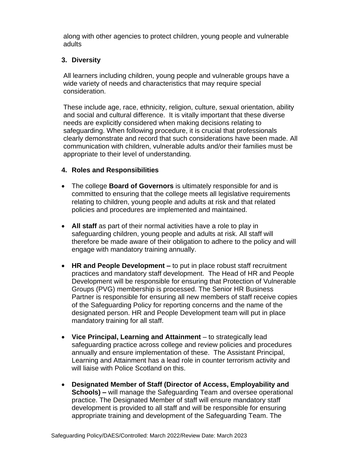along with other agencies to protect children, young people and vulnerable adults

#### <span id="page-4-0"></span>**3. Diversity**

All learners including children, young people and vulnerable groups have a wide variety of needs and characteristics that may require special consideration.

These include age, race, ethnicity, religion, culture, sexual orientation, ability and social and cultural difference. It is vitally important that these diverse needs are explicitly considered when making decisions relating to safeguarding. When following procedure, it is crucial that professionals clearly demonstrate and record that such considerations have been made. All communication with children, vulnerable adults and/or their families must be appropriate to their level of understanding.

#### <span id="page-4-1"></span>**4. Roles and Responsibilities**

- The college **Board of Governors** is ultimately responsible for and is committed to ensuring that the college meets all legislative requirements relating to children, young people and adults at risk and that related policies and procedures are implemented and maintained.
- **All staff** as part of their normal activities have a role to play in safeguarding children, young people and adults at risk. All staff will therefore be made aware of their obligation to adhere to the policy and will engage with mandatory training annually.
- **HR and People Development –** to put in place robust staff recruitment practices and mandatory staff development. The Head of HR and People Development will be responsible for ensuring that Protection of Vulnerable Groups (PVG) membership is processed. The Senior HR Business Partner is responsible for ensuring all new members of staff receive copies of the Safeguarding Policy for reporting concerns and the name of the designated person. HR and People Development team will put in place mandatory training for all staff.
- **Vice Principal, Learning and Attainment** to strategically lead safeguarding practice across college and review policies and procedures annually and ensure implementation of these. The Assistant Principal, Learning and Attainment has a lead role in counter terrorism activity and will liaise with Police Scotland on this.
- **Designated Member of Staff (Director of Access, Employability and Schools) –** will manage the Safeguarding Team and oversee operational practice. The Designated Member of staff will ensure mandatory staff development is provided to all staff and will be responsible for ensuring appropriate training and development of the Safeguarding Team. The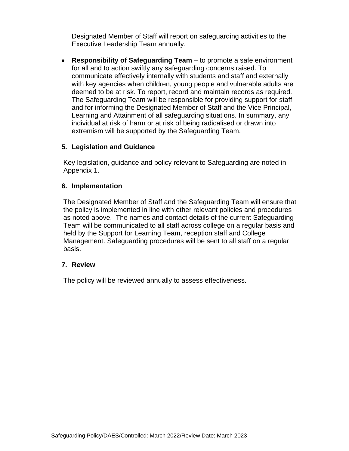Designated Member of Staff will report on safeguarding activities to the Executive Leadership Team annually.

• **Responsibility of Safeguarding Team** – to promote a safe environment for all and to action swiftly any safeguarding concerns raised. To communicate effectively internally with students and staff and externally with key agencies when children, young people and vulnerable adults are deemed to be at risk. To report, record and maintain records as required. The Safeguarding Team will be responsible for providing support for staff and for informing the Designated Member of Staff and the Vice Principal, Learning and Attainment of all safeguarding situations. In summary, any individual at risk of harm or at risk of being radicalised or drawn into extremism will be supported by the Safeguarding Team.

#### <span id="page-5-0"></span>**5. Legislation and Guidance**

Key legislation, guidance and policy relevant to Safeguarding are noted in Appendix 1.

#### <span id="page-5-1"></span>**6. Implementation**

The Designated Member of Staff and the Safeguarding Team will ensure that the policy is implemented in line with other relevant policies and procedures as noted above. The names and contact details of the current Safeguarding Team will be communicated to all staff across college on a regular basis and held by the Support for Learning Team, reception staff and College Management. Safeguarding procedures will be sent to all staff on a regular basis.

#### <span id="page-5-2"></span>**7. Review**

The policy will be reviewed annually to assess effectiveness.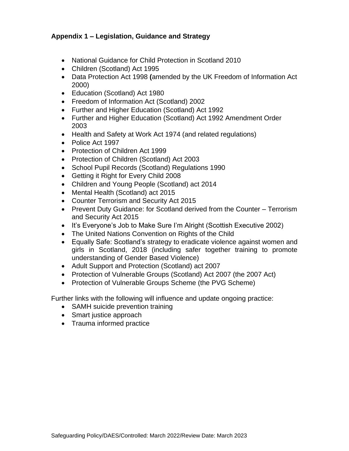#### <span id="page-6-0"></span>**Appendix 1 – Legislation, Guidance and Strategy**

- National Guidance for Child Protection in Scotland 2010
- Children (Scotland) Act 1995
- Data Protection Act 1998 **(**amended by the UK Freedom of Information Act 2000)
- Education (Scotland) Act 1980
- Freedom of Information Act (Scotland) 2002
- Further and Higher Education (Scotland) Act 1992
- Further and Higher Education (Scotland) Act 1992 Amendment Order 2003
- Health and Safety at Work Act 1974 (and related regulations)
- Police Act 1997
- Protection of Children Act 1999
- Protection of Children (Scotland) Act 2003
- School Pupil Records (Scotland) Regulations 1990
- Getting it Right for Every Child 2008
- Children and Young People (Scotland) act 2014
- Mental Health (Scotland) act 2015
- Counter Terrorism and Security Act 2015
- Prevent Duty Guidance: for Scotland derived from the Counter Terrorism and Security Act 2015
- It's Everyone's Job to Make Sure I'm Alright (Scottish Executive 2002)
- The United Nations Convention on Rights of the Child
- Equally Safe: Scotland's strategy to eradicate violence against women and girls in Scotland, 2018 (including safer together training to promote understanding of Gender Based Violence)
- Adult Support and Protection (Scotland) act 2007
- Protection of Vulnerable Groups (Scotland) Act 2007 (the 2007 Act)
- <span id="page-6-1"></span>• Protection of Vulnerable Groups Scheme (the PVG Scheme)

Further links with the following will influence and update ongoing practice:

- SAMH suicide prevention training
- Smart justice approach
- Trauma informed practice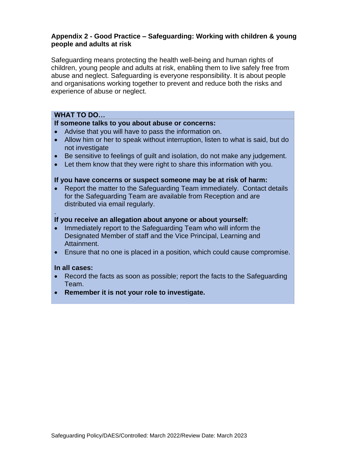#### **Appendix 2 - Good Practice – Safeguarding: Working with children & young people and adults at risk**

Safeguarding means protecting the health well-being and human rights of children, young people and adults at risk, enabling them to live safely free from abuse and neglect. Safeguarding is everyone responsibility. It is about people and organisations working together to prevent and reduce both the risks and experience of abuse or neglect.

#### **WHAT TO DO…**

#### **If someone talks to you about abuse or concerns:**

- Advise that you will have to pass the information on.
- Allow him or her to speak without interruption, listen to what is said, but do not investigate
- Be sensitive to feelings of guilt and isolation, do not make any judgement.
- Let them know that they were right to share this information with you.

#### **If you have concerns or suspect someone may be at risk of harm:**

• Report the matter to the Safeguarding Team immediately. Contact details for the Safeguarding Team are available from Reception and are distributed via email regularly.

#### **If you receive an allegation about anyone or about yourself:**

- Immediately report to the Safeguarding Team who will inform the Designated Member of staff and the Vice Principal, Learning and Attainment.
- Ensure that no one is placed in a position, which could cause compromise.

#### **In all cases:**

.

- Record the facts as soon as possible; report the facts to the Safeguarding Team.
- **Remember it is not your role to investigate.**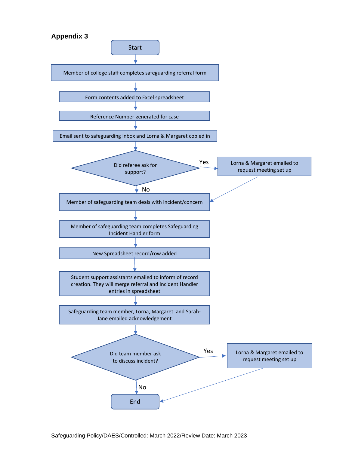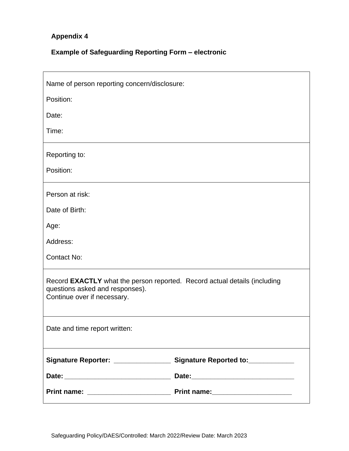# **Appendix 4**

# **Example of Safeguarding Reporting Form – electronic**

| Name of person reporting concern/disclosure:                                                                                                |  |  |
|---------------------------------------------------------------------------------------------------------------------------------------------|--|--|
| Position:                                                                                                                                   |  |  |
| Date:                                                                                                                                       |  |  |
| Time:                                                                                                                                       |  |  |
| Reporting to:                                                                                                                               |  |  |
| Position:                                                                                                                                   |  |  |
| Person at risk:                                                                                                                             |  |  |
| Date of Birth:                                                                                                                              |  |  |
| Age:                                                                                                                                        |  |  |
| Address:                                                                                                                                    |  |  |
| <b>Contact No:</b>                                                                                                                          |  |  |
| Record EXACTLY what the person reported. Record actual details (including<br>questions asked and responses).<br>Continue over if necessary. |  |  |
| Date and time report written:                                                                                                               |  |  |
| Signature Reporter: ___________________ Signature Reported to:____________                                                                  |  |  |
|                                                                                                                                             |  |  |
|                                                                                                                                             |  |  |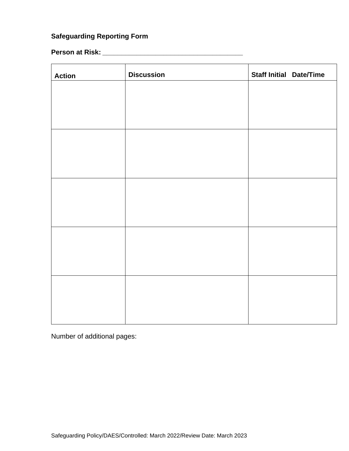# **Safeguarding Reporting Form**

# **Person at Risk: \_\_\_\_\_\_\_\_\_\_\_\_\_\_\_\_\_\_\_\_\_\_\_\_\_\_\_\_\_\_\_\_\_\_\_\_\_**

| <b>Action</b> | <b>Discussion</b> | <b>Staff Initial Date/Time</b> |
|---------------|-------------------|--------------------------------|
|               |                   |                                |
|               |                   |                                |
|               |                   |                                |
|               |                   |                                |
|               |                   |                                |
|               |                   |                                |
|               |                   |                                |
|               |                   |                                |
|               |                   |                                |
|               |                   |                                |
|               |                   |                                |
|               |                   |                                |
|               |                   |                                |
|               |                   |                                |
|               |                   |                                |

Number of additional pages: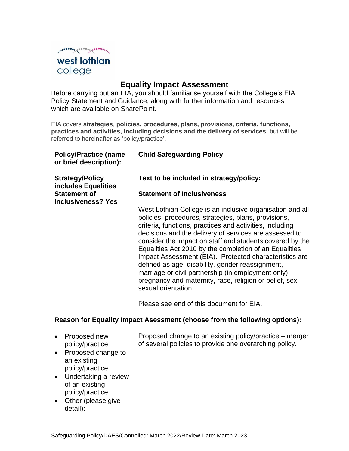

## **Equality Impact Assessment**

Before carrying out an EIA, you should familiarise yourself with the College's EIA Policy Statement and Guidance, along with further information and resources which are available on SharePoint.

EIA covers **strategies**, **policies, procedures, plans, provisions, criteria, functions, practices and activities, including decisions and the delivery of services**, but will be referred to hereinafter as 'policy/practice'.

| <b>Policy/Practice (name</b><br>or brief description):                                                                                                                                      | <b>Child Safeguarding Policy</b>                                                                                                                                                                                                                                                                                                                                                                                                                                                                                                                                                                                                                                 |
|---------------------------------------------------------------------------------------------------------------------------------------------------------------------------------------------|------------------------------------------------------------------------------------------------------------------------------------------------------------------------------------------------------------------------------------------------------------------------------------------------------------------------------------------------------------------------------------------------------------------------------------------------------------------------------------------------------------------------------------------------------------------------------------------------------------------------------------------------------------------|
| <b>Strategy/Policy</b><br>includes Equalities                                                                                                                                               | Text to be included in strategy/policy:                                                                                                                                                                                                                                                                                                                                                                                                                                                                                                                                                                                                                          |
| <b>Statement of</b>                                                                                                                                                                         | <b>Statement of Inclusiveness</b>                                                                                                                                                                                                                                                                                                                                                                                                                                                                                                                                                                                                                                |
| <b>Inclusiveness? Yes</b>                                                                                                                                                                   |                                                                                                                                                                                                                                                                                                                                                                                                                                                                                                                                                                                                                                                                  |
|                                                                                                                                                                                             | West Lothian College is an inclusive organisation and all<br>policies, procedures, strategies, plans, provisions,<br>criteria, functions, practices and activities, including<br>decisions and the delivery of services are assessed to<br>consider the impact on staff and students covered by the<br>Equalities Act 2010 by the completion of an Equalities<br>Impact Assessment (EIA). Protected characteristics are<br>defined as age, disability, gender reassignment,<br>marriage or civil partnership (in employment only),<br>pregnancy and maternity, race, religion or belief, sex,<br>sexual orientation.<br>Please see end of this document for EIA. |
|                                                                                                                                                                                             | Reason for Equality Impact Asessment (choose from the following options):                                                                                                                                                                                                                                                                                                                                                                                                                                                                                                                                                                                        |
| Proposed new<br>policy/practice<br>Proposed change to<br>an existing<br>policy/practice<br>Undertaking a review<br>of an existing<br>policy/practice<br>Other (please give<br>٠<br>detail): | Proposed change to an existing policy/practice – merger<br>of several policies to provide one overarching policy.                                                                                                                                                                                                                                                                                                                                                                                                                                                                                                                                                |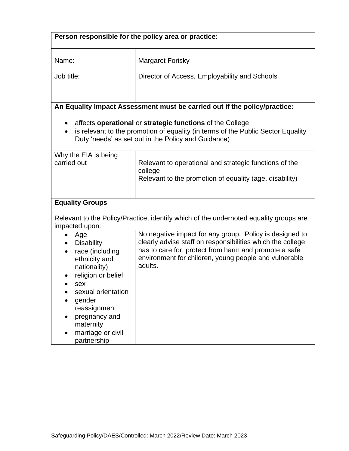| Person responsible for the policy area or practice:                                                                                                                                                                                      |                                                                                                                                                                                                                                                    |  |
|------------------------------------------------------------------------------------------------------------------------------------------------------------------------------------------------------------------------------------------|----------------------------------------------------------------------------------------------------------------------------------------------------------------------------------------------------------------------------------------------------|--|
| Name:                                                                                                                                                                                                                                    | <b>Margaret Forisky</b>                                                                                                                                                                                                                            |  |
| Job title:                                                                                                                                                                                                                               | Director of Access, Employability and Schools                                                                                                                                                                                                      |  |
| An Equality Impact Assessment must be carried out if the policy/practice:                                                                                                                                                                |                                                                                                                                                                                                                                                    |  |
| affects operational or strategic functions of the College<br>is relevant to the promotion of equality (in terms of the Public Sector Equality<br>Duty 'needs' as set out in the Policy and Guidance)                                     |                                                                                                                                                                                                                                                    |  |
| Why the EIA is being<br>carried out                                                                                                                                                                                                      | Relevant to operational and strategic functions of the<br>college<br>Relevant to the promotion of equality (age, disability)                                                                                                                       |  |
| <b>Equality Groups</b>                                                                                                                                                                                                                   |                                                                                                                                                                                                                                                    |  |
| Relevant to the Policy/Practice, identify which of the undernoted equality groups are<br>impacted upon:                                                                                                                                  |                                                                                                                                                                                                                                                    |  |
| Age<br>$\bullet$<br><b>Disability</b><br>race (including<br>ethnicity and<br>nationality)<br>religion or belief<br>sex<br>sexual orientation<br>gender<br>reassignment<br>pregnancy and<br>maternity<br>marriage or civil<br>partnership | No negative impact for any group. Policy is designed to<br>clearly advise staff on responsibilities which the college<br>has to care for, protect from harm and promote a safe<br>environment for children, young people and vulnerable<br>adults. |  |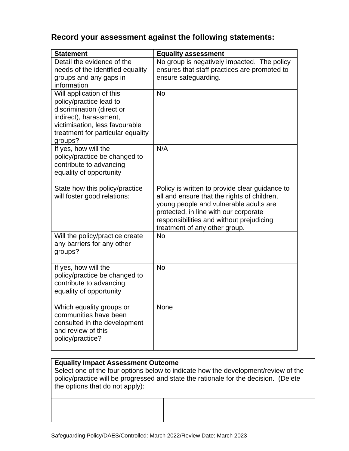## **Record your assessment against the following statements:**

| <b>Statement</b>                                                                                                                                                                             | <b>Equality assessment</b>                                                                                                                                                                                                                                    |
|----------------------------------------------------------------------------------------------------------------------------------------------------------------------------------------------|---------------------------------------------------------------------------------------------------------------------------------------------------------------------------------------------------------------------------------------------------------------|
| Detail the evidence of the<br>needs of the identified equality<br>groups and any gaps in<br>information                                                                                      | No group is negatively impacted. The policy<br>ensures that staff practices are promoted to<br>ensure safeguarding.                                                                                                                                           |
| Will application of this<br>policy/practice lead to<br>discrimination (direct or<br>indirect), harassment,<br>victimisation, less favourable<br>treatment for particular equality<br>groups? | <b>No</b>                                                                                                                                                                                                                                                     |
| If yes, how will the<br>policy/practice be changed to<br>contribute to advancing<br>equality of opportunity                                                                                  | N/A                                                                                                                                                                                                                                                           |
| State how this policy/practice<br>will foster good relations:                                                                                                                                | Policy is written to provide clear guidance to<br>all and ensure that the rights of children,<br>young people and vulnerable adults are<br>protected, in line with our corporate<br>responsibilities and without prejudicing<br>treatment of any other group. |
| Will the policy/practice create<br>any barriers for any other<br>groups?                                                                                                                     | <b>No</b>                                                                                                                                                                                                                                                     |
| If yes, how will the<br>policy/practice be changed to<br>contribute to advancing<br>equality of opportunity                                                                                  | <b>No</b>                                                                                                                                                                                                                                                     |
| Which equality groups or<br>communities have been<br>consulted in the development<br>and review of this<br>policy/practice?                                                                  | None                                                                                                                                                                                                                                                          |

#### **Equality Impact Assessment Outcome**

Select one of the four options below to indicate how the development/review of the policy/practice will be progressed and state the rationale for the decision. (Delete the options that do not apply):